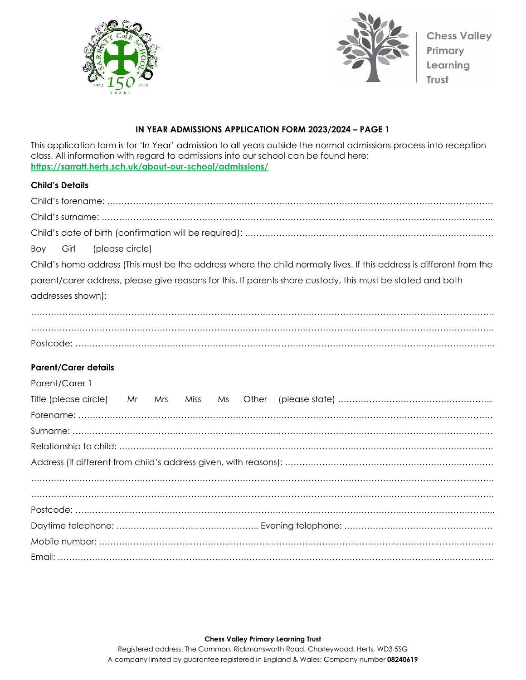



# **IN YEAR ADMISSIONS APPLICATION FORM 2023/2024 – PAGE 1**

This application form is for 'In Year' admission to all years outside the normal admissions process into reception class. All information with regard to admissions into our school can be found here: **<https://sarratt.herts.sch.uk/about-our-school/admissions/>**

## **Child's Details**

| (please circle)<br>Girl<br>Boy                                                                                       |
|----------------------------------------------------------------------------------------------------------------------|
| Child's home address (This must be the address where the child normally lives. If this address is different from the |
| parent/carer address, please give reasons for this. If parents share custody, this must be stated and both           |
| addresses shown):                                                                                                    |
|                                                                                                                      |
|                                                                                                                      |
|                                                                                                                      |
| <b>Parent/Carer details</b>                                                                                          |
| Parent/Carer 1                                                                                                       |
| Title (please circle) Mr<br>Miss<br>Ms Other<br>Mrs                                                                  |
|                                                                                                                      |
|                                                                                                                      |
|                                                                                                                      |
|                                                                                                                      |
|                                                                                                                      |
|                                                                                                                      |
|                                                                                                                      |
|                                                                                                                      |
|                                                                                                                      |

**Chess Valley Primary Learning Trust**

Registered address: The Common, Rickmansworth Road, Chorleywood, Herts, WD3 5SG A company limited by guarantee registered in England & Wales; Company number **08240619**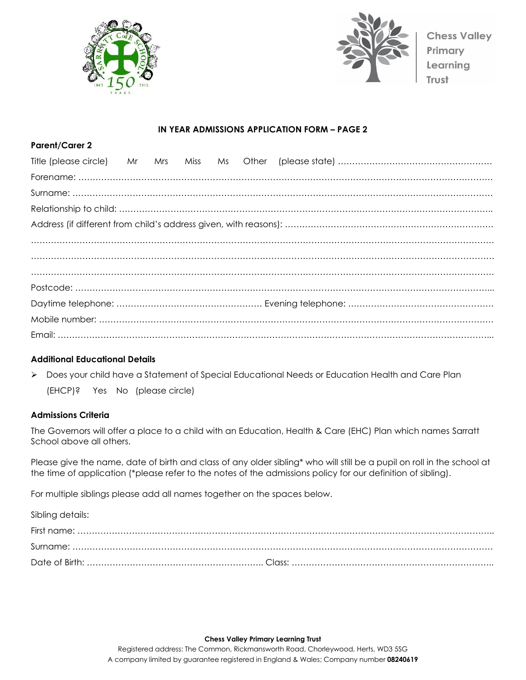



#### **IN YEAR ADMISSIONS APPLICATION FORM – PAGE 2**

## **Additional Educational Details**

➢ Does your child have a Statement of Special Educational Needs or Education Health and Care Plan

(EHCP)? Yes No (please circle)

#### **Admissions Criteria**

**Parent/Carer 2**

The Governors will offer a place to a child with an Education, Health & Care (EHC) Plan which names Sarratt School above all others.

Please give the name, date of birth and class of any older sibling\* who will still be a pupil on roll in the school at the time of application (\*please refer to the notes of the admissions policy for our definition of sibling).

For multiple siblings please add all names together on the spaces below.

Sibling details:

**Chess Valley Primary Learning Trust** Registered address: The Common, Rickmansworth Road, Chorleywood, Herts, WD3 5SG A company limited by guarantee registered in England & Wales; Company number **08240619**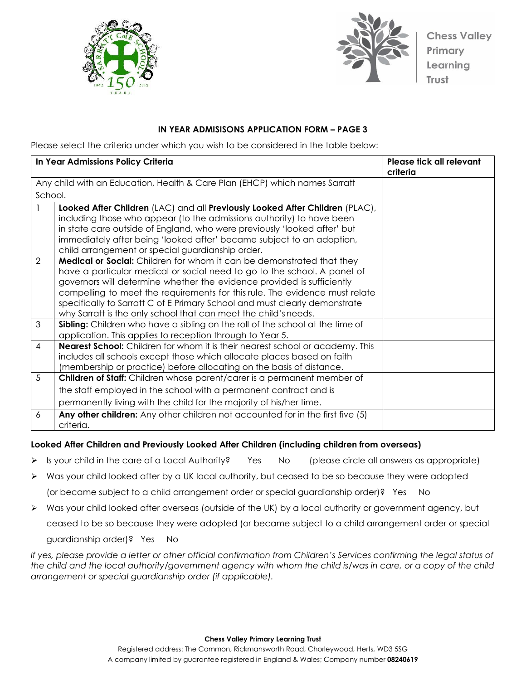



## **IN YEAR ADMISISONS APPLICATION FORM – PAGE 3**

Please select the criteria under which you wish to be considered in the table below:

|               | In Year Admissions Policy Criteria                                                                                                                                                                                                                                                                                                                                                                                                                                 | Please tick all relevant<br>criteria |
|---------------|--------------------------------------------------------------------------------------------------------------------------------------------------------------------------------------------------------------------------------------------------------------------------------------------------------------------------------------------------------------------------------------------------------------------------------------------------------------------|--------------------------------------|
|               | Any child with an Education, Health & Care Plan (EHCP) which names Sarratt                                                                                                                                                                                                                                                                                                                                                                                         |                                      |
| School.       |                                                                                                                                                                                                                                                                                                                                                                                                                                                                    |                                      |
|               | Looked After Children (LAC) and all Previously Looked After Children (PLAC),<br>including those who appear (to the admissions authority) to have been<br>in state care outside of England, who were previously 'looked after' but<br>immediately after being 'looked after' became subject to an adoption,<br>child arrangement or special guardianship order.                                                                                                     |                                      |
| $\mathcal{P}$ | <b>Medical or Social:</b> Children for whom it can be demonstrated that they<br>have a particular medical or social need to go to the school. A panel of<br>governors will determine whether the evidence provided is sufficiently<br>compelling to meet the requirements for this rule. The evidence must relate<br>specifically to Sarratt C of E Primary School and must clearly demonstrate<br>why Sarratt is the only school that can meet the child's needs. |                                      |
| 3             | Sibling: Children who have a sibling on the roll of the school at the time of<br>application. This applies to reception through to Year 5.                                                                                                                                                                                                                                                                                                                         |                                      |
| 4             | <b>Nearest School:</b> Children for whom it is their nearest school or academy. This<br>includes all schools except those which allocate places based on faith<br>(membership or practice) before allocating on the basis of distance.                                                                                                                                                                                                                             |                                      |
| 5             | <b>Children of Staff:</b> Children whose parent/carer is a permanent member of<br>the staff employed in the school with a permanent contract and is<br>permanently living with the child for the majority of his/her time.                                                                                                                                                                                                                                         |                                      |
| 6             | Any other children: Any other children not accounted for in the first five (5)<br>criteria.                                                                                                                                                                                                                                                                                                                                                                        |                                      |

## **Looked After Children and Previously Looked After Children (including children from overseas)**

- ➢ Is your child in the care of a Local Authority? Yes No (please circle all answers as appropriate)
- $\triangleright$  Was your child looked after by a UK local authority, but ceased to be so because they were adopted (or became subject to a child arrangement order or special guardianship order)? Yes No
- ➢ Was your child looked after overseas (outside of the UK) by a local authority or government agency, but

ceased to be so because they were adopted (or became subject to a child arrangement order or special

guardianship order)? Yes No

*If yes, please provide a letter or other official confirmation from Children's Services confirming the legal status of the child and the local authority/government agency with whom the child is/was in care, or a copy of the child arrangement or special guardianship order (if applicable).*